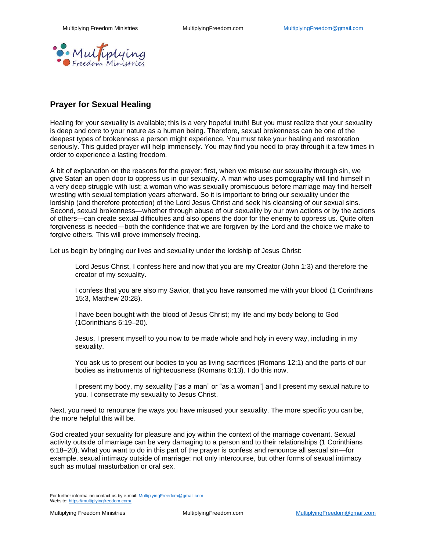

# **Prayer for Sexual Healing**

Healing for your sexuality is available; this is a very hopeful truth! But you must realize that your sexuality is deep and core to your nature as a human being. Therefore, sexual brokenness can be one of the deepest types of brokenness a person might experience. You must take your healing and restoration seriously. This guided prayer will help immensely. You may find you need to pray through it a few times in order to experience a lasting freedom.

A bit of explanation on the reasons for the prayer: first, when we misuse our sexuality through sin, we give Satan an open door to oppress us in our sexuality. A man who uses pornography will find himself in a very deep struggle with lust; a woman who was sexually promiscuous before marriage may find herself wresting with sexual temptation years afterward. So it is important to bring our sexuality under the lordship (and therefore protection) of the Lord Jesus Christ and seek his cleansing of our sexual sins. Second, sexual brokenness—whether through abuse of our sexuality by our own actions or by the actions of others—can create sexual difficulties and also opens the door for the enemy to oppress us. Quite often forgiveness is needed—both the confidence that we are forgiven by the Lord and the choice we make to forgive others. This will prove immensely freeing.

Let us begin by bringing our lives and sexuality under the lordship of Jesus Christ:

Lord Jesus Christ, I confess here and now that you are my Creator (John 1:3) and therefore the creator of my sexuality.

I confess that you are also my Savior, that you have ransomed me with your blood (1 Corinthians 15:3, Matthew 20:28).

I have been bought with the blood of Jesus Christ; my life and my body belong to God (1Corinthians 6:19–20).

Jesus, I present myself to you now to be made whole and holy in every way, including in my sexuality.

You ask us to present our bodies to you as living sacrifices (Romans 12:1) and the parts of our bodies as instruments of righteousness (Romans 6:13). I do this now.

I present my body, my sexuality ["as a man" or "as a woman"] and I present my sexual nature to you. I consecrate my sexuality to Jesus Christ.

Next, you need to renounce the ways you have misused your sexuality. The more specific you can be, the more helpful this will be.

God created your sexuality for pleasure and joy within the context of the marriage covenant. Sexual activity outside of marriage can be very damaging to a person and to their relationships (1 Corinthians 6:18–20). What you want to do in this part of the prayer is confess and renounce all sexual sin—for example, sexual intimacy outside of marriage: not only intercourse, but other forms of sexual intimacy such as mutual masturbation or oral sex.

For further information contact us by e-mail[: MultiplyingFreedom@gmail.com](mailto:MultiplyingFreedom@gmail.com) Website[: https://multiplyingfreedom.com/](https://multiplyingfreedom.com/)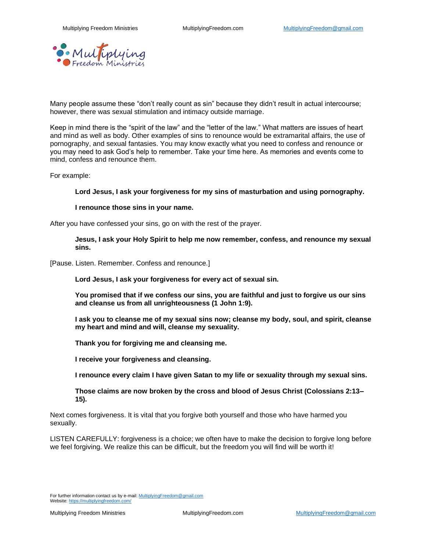

Many people assume these "don't really count as sin" because they didn't result in actual intercourse; however, there was sexual stimulation and intimacy outside marriage.

Keep in mind there is the "spirit of the law" and the "letter of the law." What matters are issues of heart and mind as well as body. Other examples of sins to renounce would be extramarital affairs, the use of pornography, and sexual fantasies. You may know exactly what you need to confess and renounce or you may need to ask God's help to remember. Take your time here. As memories and events come to mind, confess and renounce them.

For example:

## **Lord Jesus, I ask your forgiveness for my sins of masturbation and using pornography.**

#### **I renounce those sins in your name.**

After you have confessed your sins, go on with the rest of the prayer.

**Jesus, I ask your Holy Spirit to help me now remember, confess, and renounce my sexual sins.** 

[Pause. Listen. Remember. Confess and renounce.]

**Lord Jesus, I ask your forgiveness for every act of sexual sin.** 

**You promised that if we confess our sins, you are faithful and just to forgive us our sins and cleanse us from all unrighteousness (1 John 1:9).** 

**I ask you to cleanse me of my sexual sins now; cleanse my body, soul, and spirit, cleanse my heart and mind and will, cleanse my sexuality.** 

**Thank you for forgiving me and cleansing me.** 

**I receive your forgiveness and cleansing.** 

**I renounce every claim I have given Satan to my life or sexuality through my sexual sins.** 

**Those claims are now broken by the cross and blood of Jesus Christ (Colossians 2:13– 15).**

Next comes forgiveness. It is vital that you forgive both yourself and those who have harmed you sexually.

LISTEN CAREFULLY: forgiveness is a choice; we often have to make the decision to forgive long before we feel forgiving. We realize this can be difficult, but the freedom you will find will be worth it!

For further information contact us by e-mail[: MultiplyingFreedom@gmail.com](mailto:MultiplyingFreedom@gmail.com) Website[: https://multiplyingfreedom.com/](https://multiplyingfreedom.com/)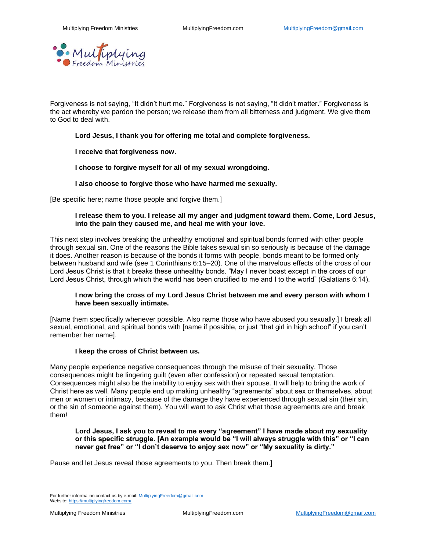

Forgiveness is not saying, "It didn't hurt me." Forgiveness is not saying, "It didn't matter." Forgiveness is the act whereby we pardon the person; we release them from all bitterness and judgment. We give them to God to deal with.

# **Lord Jesus, I thank you for offering me total and complete forgiveness.**

**I receive that forgiveness now.** 

**I choose to forgive myself for all of my sexual wrongdoing.** 

## **I also choose to forgive those who have harmed me sexually.**

[Be specific here; name those people and forgive them.]

# **I release them to you. I release all my anger and judgment toward them. Come, Lord Jesus, into the pain they caused me, and heal me with your love.**

This next step involves breaking the unhealthy emotional and spiritual bonds formed with other people through sexual sin. One of the reasons the Bible takes sexual sin so seriously is because of the damage it does. Another reason is because of the bonds it forms with people, bonds meant to be formed only between husband and wife (see 1 Corinthians 6:15–20). One of the marvelous effects of the cross of our Lord Jesus Christ is that it breaks these unhealthy bonds. "May I never boast except in the cross of our Lord Jesus Christ, through which the world has been crucified to me and I to the world" (Galatians 6:14).

# **I now bring the cross of my Lord Jesus Christ between me and every person with whom I have been sexually intimate.**

[Name them specifically whenever possible. Also name those who have abused you sexually.] I break all sexual, emotional, and spiritual bonds with [name if possible, or just "that girl in high school" if you can't remember her name].

#### **I keep the cross of Christ between us.**

Many people experience negative consequences through the misuse of their sexuality. Those consequences might be lingering guilt (even after confession) or repeated sexual temptation. Consequences might also be the inability to enjoy sex with their spouse. It will help to bring the work of Christ here as well. Many people end up making unhealthy "agreements" about sex or themselves, about men or women or intimacy, because of the damage they have experienced through sexual sin (their sin, or the sin of someone against them). You will want to ask Christ what those agreements are and break them!

**Lord Jesus, I ask you to reveal to me every "agreement" I have made about my sexuality or this specific struggle. [An example would be "I will always struggle with this" or "I can never get free" or "I don't deserve to enjoy sex now" or "My sexuality is dirty."** 

Pause and let Jesus reveal those agreements to you. Then break them.]

For further information contact us by e-mail[: MultiplyingFreedom@gmail.com](mailto:MultiplyingFreedom@gmail.com) Website[: https://multiplyingfreedom.com/](https://multiplyingfreedom.com/)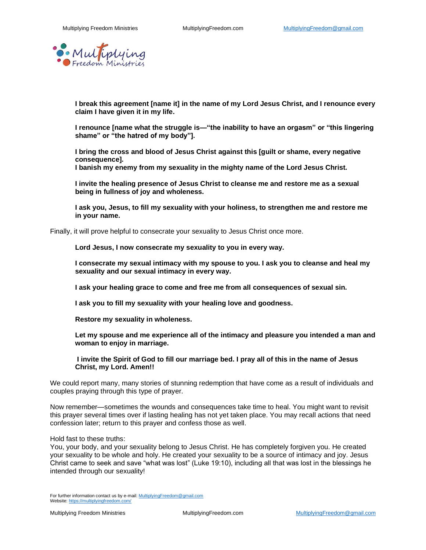

**I break this agreement [name it] in the name of my Lord Jesus Christ, and I renounce every claim I have given it in my life.** 

**I renounce [name what the struggle is—"the inability to have an orgasm" or "this lingering shame" or "the hatred of my body"].** 

**I bring the cross and blood of Jesus Christ against this [guilt or shame, every negative consequence].** 

**I banish my enemy from my sexuality in the mighty name of the Lord Jesus Christ.** 

**I invite the healing presence of Jesus Christ to cleanse me and restore me as a sexual being in fullness of joy and wholeness.** 

**I ask you, Jesus, to fill my sexuality with your holiness, to strengthen me and restore me in your name.**

Finally, it will prove helpful to consecrate your sexuality to Jesus Christ once more.

**Lord Jesus, I now consecrate my sexuality to you in every way.** 

**I consecrate my sexual intimacy with my spouse to you. I ask you to cleanse and heal my sexuality and our sexual intimacy in every way.** 

**I ask your healing grace to come and free me from all consequences of sexual sin.** 

**I ask you to fill my sexuality with your healing love and goodness.** 

**Restore my sexuality in wholeness.** 

**Let my spouse and me experience all of the intimacy and pleasure you intended a man and woman to enjoy in marriage.**

**I invite the Spirit of God to fill our marriage bed. I pray all of this in the name of Jesus Christ, my Lord. Amen!!**

We could report many, many stories of stunning redemption that have come as a result of individuals and couples praying through this type of prayer.

Now remember—sometimes the wounds and consequences take time to heal. You might want to revisit this prayer several times over if lasting healing has not yet taken place. You may recall actions that need confession later; return to this prayer and confess those as well.

Hold fast to these truths:

You, your body, and your sexuality belong to Jesus Christ. He has completely forgiven you. He created your sexuality to be whole and holy. He created your sexuality to be a source of intimacy and joy. Jesus Christ came to seek and save "what was lost" (Luke 19:10), including all that was lost in the blessings he intended through our sexuality!

For further information contact us by e-mail[: MultiplyingFreedom@gmail.com](mailto:MultiplyingFreedom@gmail.com) Website[: https://multiplyingfreedom.com/](https://multiplyingfreedom.com/)